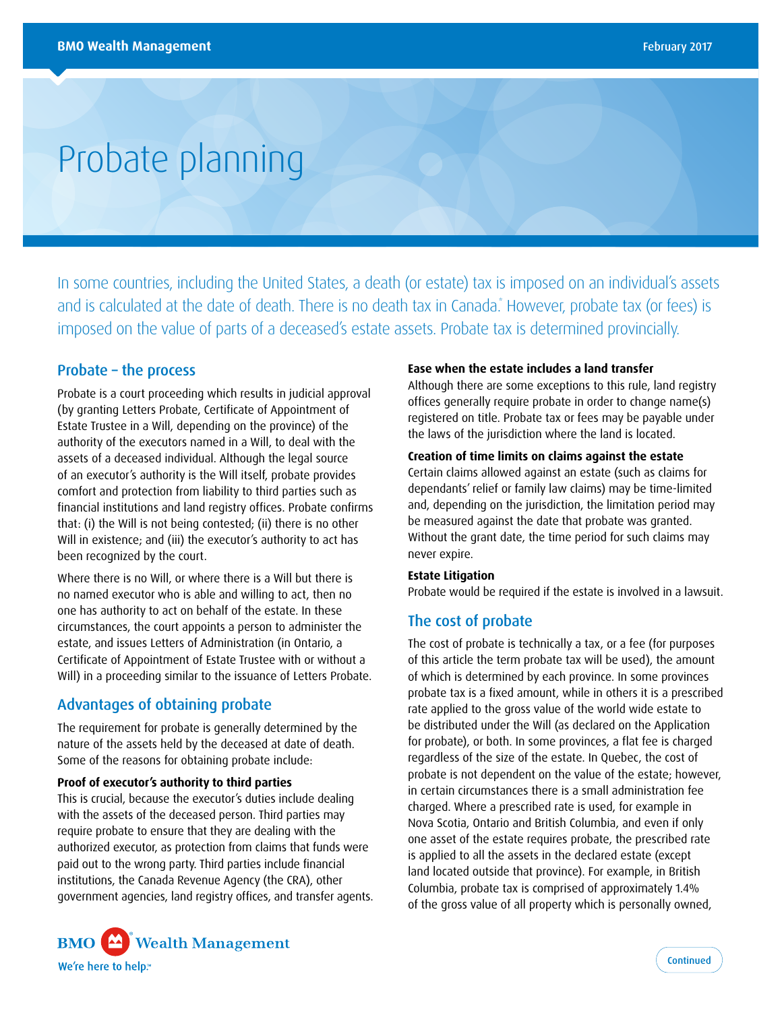# Probate planning

In some countries, including the United States, a death (or estate) tax is imposed on an individual's assets and is calculated at the date of death. There is no death tax in Canada." However, probate tax (or fees) is I imposed on the value of parts of a deceased's estate assets. Probate tax is determined provincially.

## Probate – the process

Probate is a court proceeding which results in judicial approval (by granting Letters Probate, Certificate of Appointment of Estate Trustee in a Will, depending on the province) of the authority of the executors named in a Will, to deal with the assets of a deceased individual. Although the legal source of an executor's authority is the Will itself, probate provides comfort and protection from liability to third parties such as financial institutions and land registry offices. Probate confirms that: (i) the Will is not being contested; (ii) there is no other Will in existence; and (iii) the executor's authority to act has been recognized by the court.

Where there is no Will, or where there is a Will but there is no named executor who is able and willing to act, then no one has authority to act on behalf of the estate. In these circumstances, the court appoints a person to administer the estate, and issues Letters of Administration (in Ontario, a Certificate of Appointment of Estate Trustee with or without a Will) in a proceeding similar to the issuance of Letters Probate.

## Advantages of obtaining probate

The requirement for probate is generally determined by the nature of the assets held by the deceased at date of death. Some of the reasons for obtaining probate include:

#### **Proof of executor's authority to third parties**

This is crucial, because the executor's duties include dealing with the assets of the deceased person. Third parties may require probate to ensure that they are dealing with the authorized executor, as protection from claims that funds were paid out to the wrong party. Third parties include financial institutions, the Canada Revenue Agency (the CRA), other government agencies, land registry offices, and transfer agents.



Although there are some exceptions to this rule, land registry offices generally require probate in order to change name(s) registered on title. Probate tax or fees may be payable under the laws of the jurisdiction where the land is located.

#### **Creation of time limits on claims against the estate**

Certain claims allowed against an estate (such as claims for dependants' relief or family law claims) may be time-limited and, depending on the jurisdiction, the limitation period may be measured against the date that probate was granted. Without the grant date, the time period for such claims may never expire.

#### **Estate Litigation**

Probate would be required if the estate is involved in a lawsuit.

## The cost of probate

The cost of probate is technically a tax, or a fee (for purposes of this article the term probate tax will be used), the amount of which is determined by each province. In some provinces probate tax is a fixed amount, while in others it is a prescribed rate applied to the gross value of the world wide estate to be distributed under the Will (as declared on the Application for probate), or both. In some provinces, a flat fee is charged regardless of the size of the estate. In Quebec, the cost of probate is not dependent on the value of the estate; however, in certain circumstances there is a small administration fee charged. Where a prescribed rate is used, for example in Nova Scotia, Ontario and British Columbia, and even if only one asset of the estate requires probate, the prescribed rate is applied to all the assets in the declared estate (except land located outside that province). For example, in British Columbia, probate tax is comprised of approximately 1.4% of the gross value of all property which is personally owned,

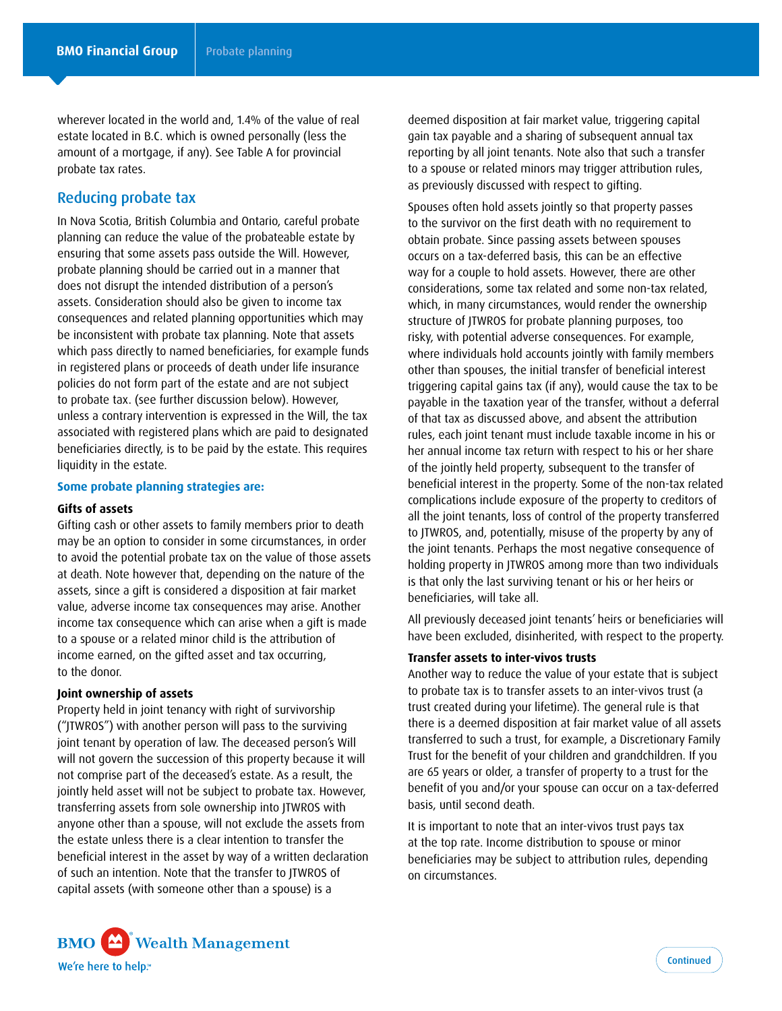wherever located in the world and, 1.4% of the value of real estate located in B.C. which is owned personally (less the amount of a mortgage, if any). See Table A for provincial probate tax rates.

## Reducing probate tax

In Nova Scotia, British Columbia and Ontario, careful probate planning can reduce the value of the probateable estate by ensuring that some assets pass outside the Will. However, probate planning should be carried out in a manner that does not disrupt the intended distribution of a person's assets. Consideration should also be given to income tax consequences and related planning opportunities which may be inconsistent with probate tax planning. Note that assets which pass directly to named beneficiaries, for example funds in registered plans or proceeds of death under life insurance policies do not form part of the estate and are not subject to probate tax. (see further discussion below). However, unless a contrary intervention is expressed in the Will, the tax associated with registered plans which are paid to designated beneficiaries directly, is to be paid by the estate. This requires liquidity in the estate.

#### **Some probate planning strategies are:**

#### **Gifts of assets**

Gifting cash or other assets to family members prior to death may be an option to consider in some circumstances, in order to avoid the potential probate tax on the value of those assets at death. Note however that, depending on the nature of the assets, since a gift is considered a disposition at fair market value, adverse income tax consequences may arise. Another income tax consequence which can arise when a gift is made to a spouse or a related minor child is the attribution of income earned, on the gifted asset and tax occurring, to the donor.

#### **Joint ownership of assets**

Property held in joint tenancy with right of survivorship ("JTWROS") with another person will pass to the surviving joint tenant by operation of law. The deceased person's Will will not govern the succession of this property because it will not comprise part of the deceased's estate. As a result, the jointly held asset will not be subject to probate tax. However, transferring assets from sole ownership into JTWROS with anyone other than a spouse, will not exclude the assets from the estate unless there is a clear intention to transfer the beneficial interest in the asset by way of a written declaration of such an intention. Note that the transfer to JTWROS of capital assets (with someone other than a spouse) is a

deemed disposition at fair market value, triggering capital gain tax payable and a sharing of subsequent annual tax reporting by all joint tenants. Note also that such a transfer to a spouse or related minors may trigger attribution rules, as previously discussed with respect to gifting.

Spouses often hold assets jointly so that property passes to the survivor on the first death with no requirement to obtain probate. Since passing assets between spouses occurs on a tax-deferred basis, this can be an effective way for a couple to hold assets. However, there are other considerations, some tax related and some non-tax related, which, in many circumstances, would render the ownership structure of JTWROS for probate planning purposes, too risky, with potential adverse consequences. For example, where individuals hold accounts jointly with family members other than spouses, the initial transfer of beneficial interest triggering capital gains tax (if any), would cause the tax to be payable in the taxation year of the transfer, without a deferral of that tax as discussed above, and absent the attribution rules, each joint tenant must include taxable income in his or her annual income tax return with respect to his or her share of the jointly held property, subsequent to the transfer of beneficial interest in the property. Some of the non-tax related complications include exposure of the property to creditors of all the joint tenants, loss of control of the property transferred to JTWROS, and, potentially, misuse of the property by any of the joint tenants. Perhaps the most negative consequence of holding property in JTWROS among more than two individuals is that only the last surviving tenant or his or her heirs or beneficiaries, will take all.

All previously deceased joint tenants' heirs or beneficiaries will have been excluded, disinherited, with respect to the property.

#### **Transfer assets to inter-vivos trusts**

Another way to reduce the value of your estate that is subject to probate tax is to transfer assets to an inter-vivos trust (a trust created during your lifetime). The general rule is that there is a deemed disposition at fair market value of all assets transferred to such a trust, for example, a Discretionary Family Trust for the benefit of your children and grandchildren. If you are 65 years or older, a transfer of property to a trust for the benefit of you and/or your spouse can occur on a tax-deferred basis, until second death.

It is important to note that an inter-vivos trust pays tax at the top rate. Income distribution to spouse or minor beneficiaries may be subject to attribution rules, depending on circumstances.

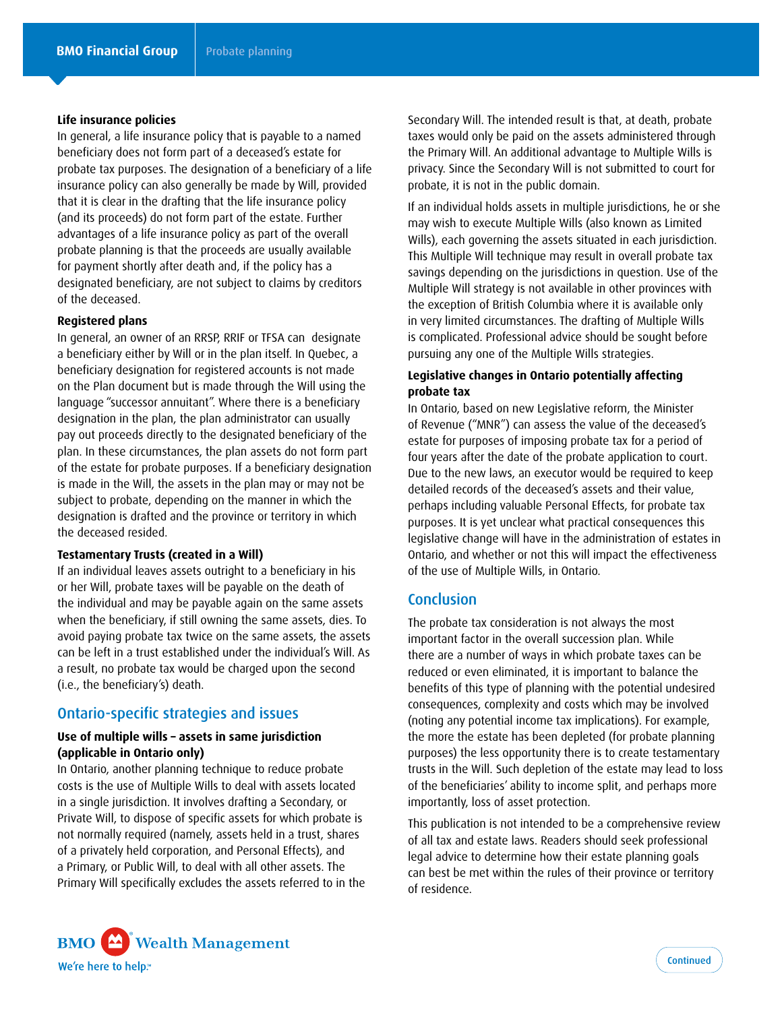#### **Life insurance policies**

In general, a life insurance policy that is payable to a named beneficiary does not form part of a deceased's estate for probate tax purposes. The designation of a beneficiary of a life insurance policy can also generally be made by Will, provided that it is clear in the drafting that the life insurance policy (and its proceeds) do not form part of the estate. Further advantages of a life insurance policy as part of the overall probate planning is that the proceeds are usually available for payment shortly after death and, if the policy has a designated beneficiary, are not subject to claims by creditors of the deceased.

#### **Registered plans**

In general, an owner of an RRSP, RRIF or TFSA can designate a beneficiary either by Will or in the plan itself. In Quebec, a beneficiary designation for registered accounts is not made on the Plan document but is made through the Will using the language "successor annuitant". Where there is a beneficiary designation in the plan, the plan administrator can usually pay out proceeds directly to the designated beneficiary of the plan. In these circumstances, the plan assets do not form part of the estate for probate purposes. If a beneficiary designation is made in the Will, the assets in the plan may or may not be subject to probate, depending on the manner in which the designation is drafted and the province or territory in which the deceased resided.

#### **Testamentary Trusts (created in a Will)**

If an individual leaves assets outright to a beneficiary in his or her Will, probate taxes will be payable on the death of the individual and may be payable again on the same assets when the beneficiary, if still owning the same assets, dies. To avoid paying probate tax twice on the same assets, the assets can be left in a trust established under the individual's Will. As a result, no probate tax would be charged upon the second (i.e., the beneficiary's) death.

## Ontario-specific strategies and issues

#### **Use of multiple wills – assets in same jurisdiction (applicable in Ontario only)**

In Ontario, another planning technique to reduce probate costs is the use of Multiple Wills to deal with assets located in a single jurisdiction. It involves drafting a Secondary, or Private Will, to dispose of specific assets for which probate is not normally required (namely, assets held in a trust, shares of a privately held corporation, and Personal Effects), and a Primary, or Public Will, to deal with all other assets. The Primary Will specifically excludes the assets referred to in the Secondary Will. The intended result is that, at death, probate taxes would only be paid on the assets administered through the Primary Will. An additional advantage to Multiple Wills is privacy. Since the Secondary Will is not submitted to court for probate, it is not in the public domain.

If an individual holds assets in multiple jurisdictions, he or she may wish to execute Multiple Wills (also known as Limited Wills), each governing the assets situated in each jurisdiction. This Multiple Will technique may result in overall probate tax savings depending on the jurisdictions in question. Use of the Multiple Will strategy is not available in other provinces with the exception of British Columbia where it is available only in very limited circumstances. The drafting of Multiple Wills is complicated. Professional advice should be sought before pursuing any one of the Multiple Wills strategies.

#### **Legislative changes in Ontario potentially affecting probate tax**

In Ontario, based on new Legislative reform, the Minister of Revenue ("MNR") can assess the value of the deceased's estate for purposes of imposing probate tax for a period of four years after the date of the probate application to court. Due to the new laws, an executor would be required to keep detailed records of the deceased's assets and their value, perhaps including valuable Personal Effects, for probate tax purposes. It is yet unclear what practical consequences this legislative change will have in the administration of estates in Ontario, and whether or not this will impact the effectiveness of the use of Multiple Wills, in Ontario.

### **Conclusion**

The probate tax consideration is not always the most important factor in the overall succession plan. While there are a number of ways in which probate taxes can be reduced or even eliminated, it is important to balance the benefits of this type of planning with the potential undesired consequences, complexity and costs which may be involved (noting any potential income tax implications). For example, the more the estate has been depleted (for probate planning purposes) the less opportunity there is to create testamentary trusts in the Will. Such depletion of the estate may lead to loss of the beneficiaries' ability to income split, and perhaps more importantly, loss of asset protection.

This publication is not intended to be a comprehensive review of all tax and estate laws. Readers should seek professional legal advice to determine how their estate planning goals can best be met within the rules of their province or territory of residence.

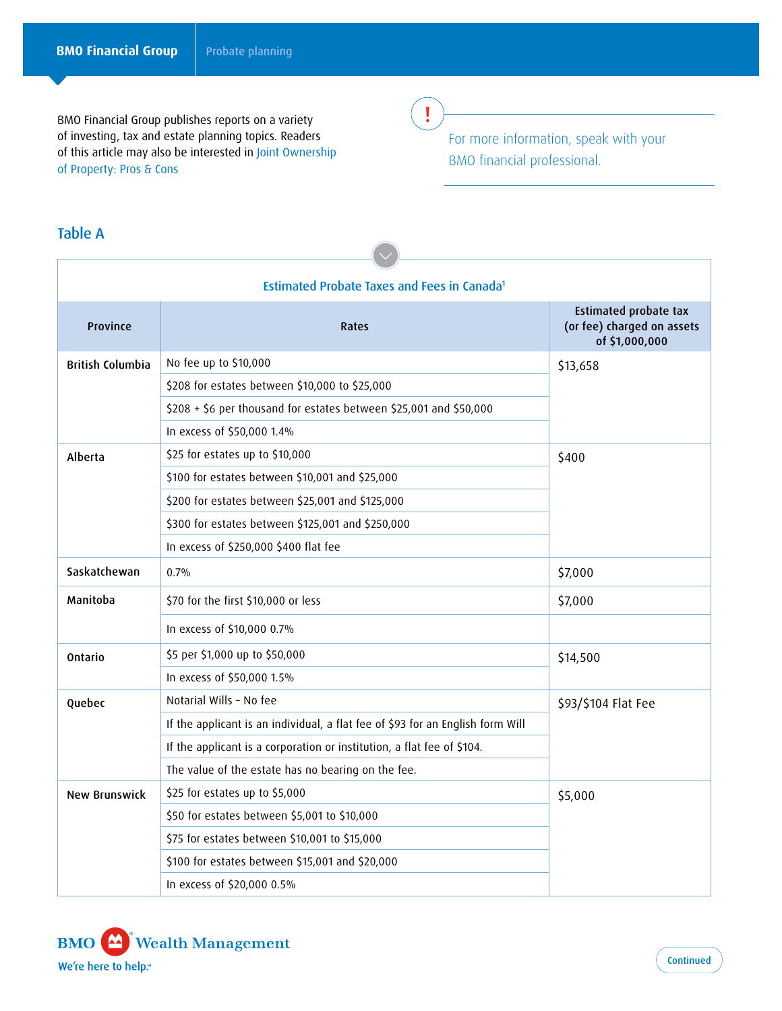BMO Financial Group publishes reports on a variety of investing, tax and estate planning topics. Readers of this article may also be interested in Joint Ownership of Property: Pros & Cons

!

For more information, speak with your BMO financial professional.

## Table A

| <b>Estimated Probate Taxes and Fees in Canada1</b> |                                                                                |                                                                              |  |
|----------------------------------------------------|--------------------------------------------------------------------------------|------------------------------------------------------------------------------|--|
| Province                                           | Rates                                                                          | <b>Estimated probate tax</b><br>(or fee) charged on assets<br>of \$1,000,000 |  |
| <b>British Columbia</b>                            | No fee up to \$10,000                                                          | \$13,658                                                                     |  |
|                                                    | \$208 for estates between \$10,000 to \$25,000                                 |                                                                              |  |
|                                                    | \$208 + \$6 per thousand for estates between \$25,001 and \$50,000             |                                                                              |  |
|                                                    | In excess of \$50,000 1.4%                                                     |                                                                              |  |
| Alberta                                            | \$25 for estates up to \$10,000                                                | \$400                                                                        |  |
|                                                    | \$100 for estates between \$10,001 and \$25,000                                |                                                                              |  |
|                                                    | \$200 for estates between \$25,001 and \$125,000                               |                                                                              |  |
|                                                    | \$300 for estates between \$125,001 and \$250,000                              |                                                                              |  |
|                                                    | In excess of \$250,000 \$400 flat fee                                          |                                                                              |  |
| Saskatchewan                                       | 0.7%                                                                           | \$7,000                                                                      |  |
| Manitoba                                           | \$70 for the first \$10,000 or less                                            | \$7,000                                                                      |  |
|                                                    | In excess of \$10,000 0.7%                                                     |                                                                              |  |
| Ontario                                            | \$5 per \$1,000 up to \$50,000                                                 | \$14,500                                                                     |  |
|                                                    | In excess of \$50,000 1.5%                                                     |                                                                              |  |
| Quebec                                             | Notarial Wills - No fee                                                        | \$93/\$104 Flat Fee                                                          |  |
|                                                    | If the applicant is an individual, a flat fee of \$93 for an English form Will |                                                                              |  |
|                                                    | If the applicant is a corporation or institution, a flat fee of \$104.         |                                                                              |  |
|                                                    | The value of the estate has no bearing on the fee.                             |                                                                              |  |
| <b>New Brunswick</b>                               | \$25 for estates up to \$5,000                                                 | \$5,000                                                                      |  |
|                                                    | \$50 for estates between \$5,001 to \$10,000                                   |                                                                              |  |
|                                                    | \$75 for estates between \$10,001 to \$15,000                                  |                                                                              |  |
|                                                    | \$100 for estates between \$15,001 and \$20,000                                |                                                                              |  |
|                                                    | In excess of \$20,000 0.5%                                                     |                                                                              |  |
|                                                    |                                                                                |                                                                              |  |